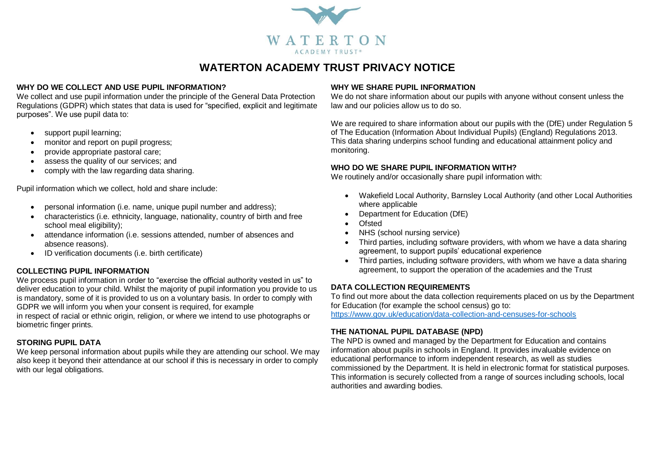

# **WATERTON ACADEMY TRUST PRIVACY NOTICE**

#### **WHY DO WE COLLECT AND USE PUPIL INFORMATION?**

We collect and use pupil information under the principle of the General Data Protection Regulations (GDPR) which states that data is used for "specified, explicit and legitimate purposes". We use pupil data to:

- support pupil learning;
- monitor and report on pupil progress;
- provide appropriate pastoral care;
- assess the quality of our services: and
- comply with the law regarding data sharing.

Pupil information which we collect, hold and share include:

- personal information (i.e. name, unique pupil number and address);
- characteristics (i.e. ethnicity, language, nationality, country of birth and free school meal eligibility);
- attendance information (i.e. sessions attended, number of absences and absence reasons).
- ID verification documents (i.e. birth certificate)

# **COLLECTING PUPIL INFORMATION**

We process pupil information in order to "exercise the official authority vested in us" to deliver education to your child. Whilst the majority of pupil information you provide to us is mandatory, some of it is provided to us on a voluntary basis. In order to comply with GDPR we will inform you when your consent is required, for example

in respect of racial or ethnic origin, religion, or where we intend to use photographs or biometric finger prints.

# **STORING PUPIL DATA**

We keep personal information about pupils while they are attending our school. We may also keep it beyond their attendance at our school if this is necessary in order to comply with our legal obligations.

#### **WHY WE SHARE PUPIL INFORMATION**

We do not share information about our pupils with anyone without consent unless the law and our policies allow us to do so.

We are required to share information about our pupils with the (DfE) under Regulation 5 of The Education (Information About Individual Pupils) (England) Regulations 2013. This data sharing underpins school funding and educational attainment policy and monitoring.

#### **WHO DO WE SHARE PUPIL INFORMATION WITH?**

We routinely and/or occasionally share pupil information with:

- Wakefield Local Authority, Barnsley Local Authority (and other Local Authorities where applicable
- Department for Education (DfE)
- Ofsted
- NHS (school nursing service)
- Third parties, including software providers, with whom we have a data sharing agreement, to support pupils' educational experience
- Third parties, including software providers, with whom we have a data sharing agreement, to support the operation of the academies and the Trust

# **DATA COLLECTION REQUIREMENTS**

To find out more about the data collection requirements placed on us by the Department for Education (for example the school census) go to:

<https://www.gov.uk/education/data-collection-and-censuses-for-schools>

# **THE NATIONAL PUPIL DATABASE (NPD)**

The NPD is owned and managed by the Department for Education and contains information about pupils in schools in England. It provides invaluable evidence on educational performance to inform independent research, as well as studies commissioned by the Department. It is held in electronic format for statistical purposes. This information is securely collected from a range of sources including schools, local authorities and awarding bodies.